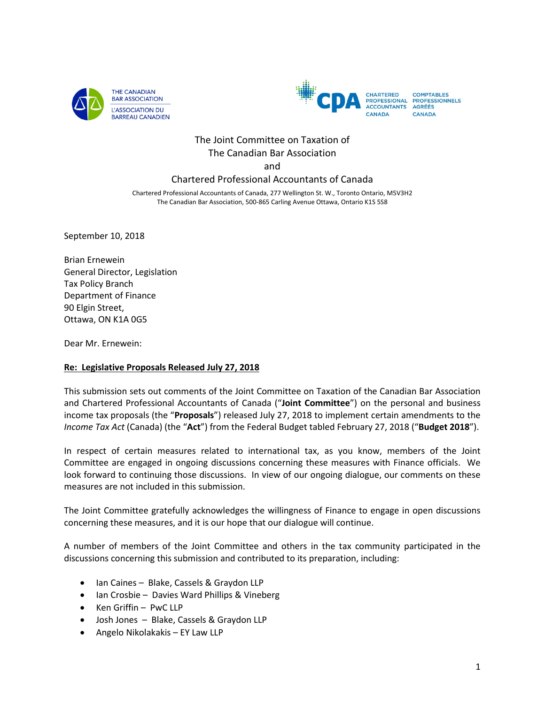



# The Joint Committee on Taxation of The Canadian Bar Association and

# Chartered Professional Accountants of Canada

Chartered Professional Accountants of Canada, 277 Wellington St. W., Toronto Ontario, M5V3H2 The Canadian Bar Association, 500-865 Carling Avenue Ottawa, Ontario K1S 5S8

September 10, 2018

Brian Ernewein General Director, Legislation Tax Policy Branch Department of Finance 90 Elgin Street, Ottawa, ON K1A 0G5

Dear Mr. Ernewein:

### **Re: Legislative Proposals Released July 27, 2018**

This submission sets out comments of the Joint Committee on Taxation of the Canadian Bar Association and Chartered Professional Accountants of Canada ("**Joint Committee**") on the personal and business income tax proposals (the "**Proposals**") released July 27, 2018 to implement certain amendments to the *Income Tax Act* (Canada) (the "**Act**") from the Federal Budget tabled February 27, 2018 ("**Budget 2018**").

In respect of certain measures related to international tax, as you know, members of the Joint Committee are engaged in ongoing discussions concerning these measures with Finance officials. We look forward to continuing those discussions. In view of our ongoing dialogue, our comments on these measures are not included in this submission.

The Joint Committee gratefully acknowledges the willingness of Finance to engage in open discussions concerning these measures, and it is our hope that our dialogue will continue.

A number of members of the Joint Committee and others in the tax community participated in the discussions concerning this submission and contributed to its preparation, including:

- Ian Caines Blake, Cassels & Graydon LLP
- Ian Crosbie Davies Ward Phillips & Vineberg
- Ken Griffin PwC LLP
- Josh Jones Blake, Cassels & Graydon LLP
- Angelo Nikolakakis EY Law LLP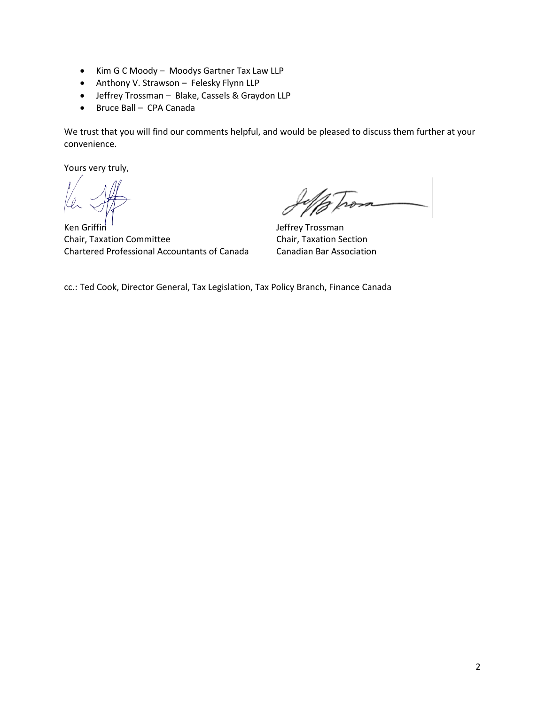- Kim G C Moody Moodys Gartner Tax Law LLP
- Anthony V. Strawson Felesky Flynn LLP
- Jeffrey Trossman Blake, Cassels & Graydon LLP
- Bruce Ball CPA Canada

We trust that you will find our comments helpful, and would be pleased to discuss them further at your convenience.

Yours very truly,

Ken Griffin Chair, Taxation Committee Chartered Professional Accountants of Canada

Jeffrey Trossman Chair, Taxation Section Canadian Bar Association

cc.: Ted Cook, Director General, Tax Legislation, Tax Policy Branch, Finance Canada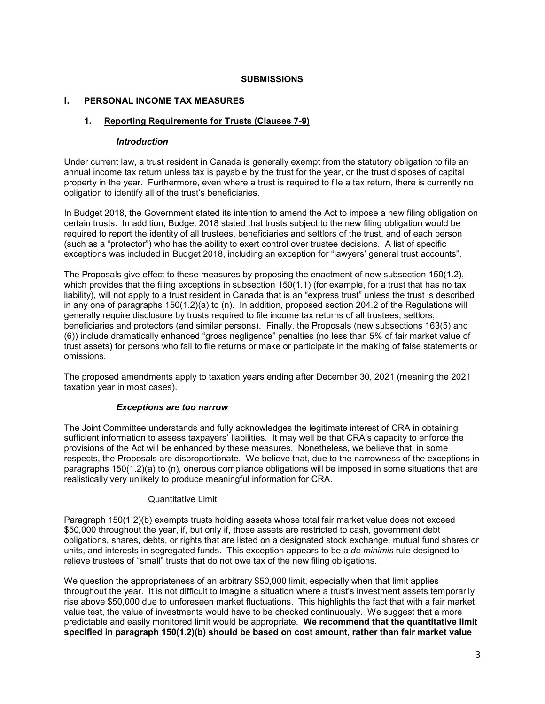#### **SUBMISSIONS**

#### **I. PERSONAL INCOME TAX MEASURES**

# **1. Reporting Requirements for Trusts (Clauses 7-9)**

#### *Introduction*

Under current law, a trust resident in Canada is generally exempt from the statutory obligation to file an annual income tax return unless tax is payable by the trust for the year, or the trust disposes of capital property in the year. Furthermore, even where a trust is required to file a tax return, there is currently no obligation to identify all of the trust's beneficiaries.

In Budget 2018, the Government stated its intention to amend the Act to impose a new filing obligation on certain trusts. In addition, Budget 2018 stated that trusts subject to the new filing obligation would be required to report the identity of all trustees, beneficiaries and settlors of the trust, and of each person (such as a "protector") who has the ability to exert control over trustee decisions. A list of specific exceptions was included in Budget 2018, including an exception for "lawyers' general trust accounts".

The Proposals give effect to these measures by proposing the enactment of new subsection 150(1.2), which provides that the filing exceptions in subsection 150(1.1) (for example, for a trust that has no tax liability), will not apply to a trust resident in Canada that is an "express trust" unless the trust is described in any one of paragraphs 150(1.2)(a) to (n). In addition, proposed section 204.2 of the Regulations will generally require disclosure by trusts required to file income tax returns of all trustees, settlors, beneficiaries and protectors (and similar persons). Finally, the Proposals (new subsections 163(5) and (6)) include dramatically enhanced "gross negligence" penalties (no less than 5% of fair market value of trust assets) for persons who fail to file returns or make or participate in the making of false statements or omissions.

The proposed amendments apply to taxation years ending after December 30, 2021 (meaning the 2021 taxation year in most cases).

#### *Exceptions are too narrow*

The Joint Committee understands and fully acknowledges the legitimate interest of CRA in obtaining sufficient information to assess taxpayers' liabilities. It may well be that CRA's capacity to enforce the provisions of the Act will be enhanced by these measures. Nonetheless, we believe that, in some respects, the Proposals are disproportionate. We believe that, due to the narrowness of the exceptions in paragraphs 150(1.2)(a) to (n), onerous compliance obligations will be imposed in some situations that are realistically very unlikely to produce meaningful information for CRA.

#### Quantitative Limit

Paragraph 150(1.2)(b) exempts trusts holding assets whose total fair market value does not exceed \$50,000 throughout the year, if, but only if, those assets are restricted to cash, government debt obligations, shares, debts, or rights that are listed on a designated stock exchange, mutual fund shares or units, and interests in segregated funds. This exception appears to be a *de minimis* rule designed to relieve trustees of "small" trusts that do not owe tax of the new filing obligations.

We question the appropriateness of an arbitrary \$50,000 limit, especially when that limit applies throughout the year. It is not difficult to imagine a situation where a trust's investment assets temporarily rise above \$50,000 due to unforeseen market fluctuations. This highlights the fact that with a fair market value test, the value of investments would have to be checked continuously. We suggest that a more predictable and easily monitored limit would be appropriate. **We recommend that the quantitative limit specified in paragraph 150(1.2)(b) should be based on cost amount, rather than fair market value**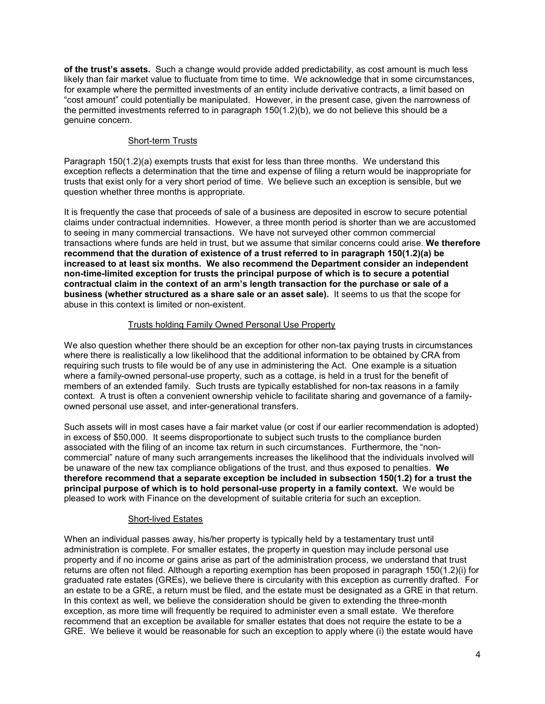**of the trust's assets.** Such a change would provide added predictability, as cost amount is much less likely than fair market value to fluctuate from time to time. We acknowledge that in some circumstances, for example where the permitted investments of an entity include derivative contracts, a limit based on "cost amount" could potentially be manipulated. However, in the present case, given the narrowness of the permitted investments referred to in paragraph 150(1.2)(b), we do not believe this should be a genuine concern.

### Short-term Trusts

Paragraph 150(1.2)(a) exempts trusts that exist for less than three months. We understand this exception reflects a determination that the time and expense of filing a return would be inappropriate for trusts that exist only for a very short period of time. We believe such an exception is sensible, but we question whether three months is appropriate.

It is frequently the case that proceeds of sale of a business are deposited in escrow to secure potential claims under contractual indemnities. However, a three month period is shorter than we are accustomed to seeing in many commercial transactions. We have not surveyed other common commercial transactions where funds are held in trust, but we assume that similar concerns could arise. **We therefore recommend that the duration of existence of a trust referred to in paragraph 150(1.2)(a) be increased to at least six months. We also recommend the Department consider an independent non-time-limited exception for trusts the principal purpose of which is to secure a potential contractual claim in the context of an arm's length transaction for the purchase or sale of a business (whether structured as a share sale or an asset sale).** It seems to us that the scope for abuse in this context is limited or non-existent.

# Trusts holding Family Owned Personal Use Property

We also question whether there should be an exception for other non-tax paying trusts in circumstances where there is realistically a low likelihood that the additional information to be obtained by CRA from requiring such trusts to file would be of any use in administering the Act. One example is a situation where a family-owned personal-use property, such as a cottage, is held in a trust for the benefit of members of an extended family. Such trusts are typically established for non-tax reasons in a family context. A trust is often a convenient ownership vehicle to facilitate sharing and governance of a familyowned personal use asset, and inter-generational transfers.

Such assets will in most cases have a fair market value (or cost if our earlier recommendation is adopted) in excess of \$50,000. It seems disproportionate to subject such trusts to the compliance burden associated with the filing of an income tax return in such circumstances. Furthermore, the "noncommercial" nature of many such arrangements increases the likelihood that the individuals involved will be unaware of the new tax compliance obligations of the trust, and thus exposed to penalties. **We therefore recommend that a separate exception be included in subsection 150(1.2) for a trust the principal purpose of which is to hold personal-use property in a family context.** We would be pleased to work with Finance on the development of suitable criteria for such an exception.

### Short-lived Estates

When an individual passes away, his/her property is typically held by a testamentary trust until administration is complete. For smaller estates, the property in question may include personal use property and if no income or gains arise as part of the administration process, we understand that trust returns are often not filed. Although a reporting exemption has been proposed in paragraph 150(1.2)(i) for graduated rate estates (GREs), we believe there is circularity with this exception as currently drafted. For an estate to be a GRE, a return must be filed, and the estate must be designated as a GRE in that return. In this context as well, we believe the consideration should be given to extending the three-month exception, as more time will frequently be required to administer even a small estate. We therefore recommend that an exception be available for smaller estates that does not require the estate to be a GRE. We believe it would be reasonable for such an exception to apply where (i) the estate would have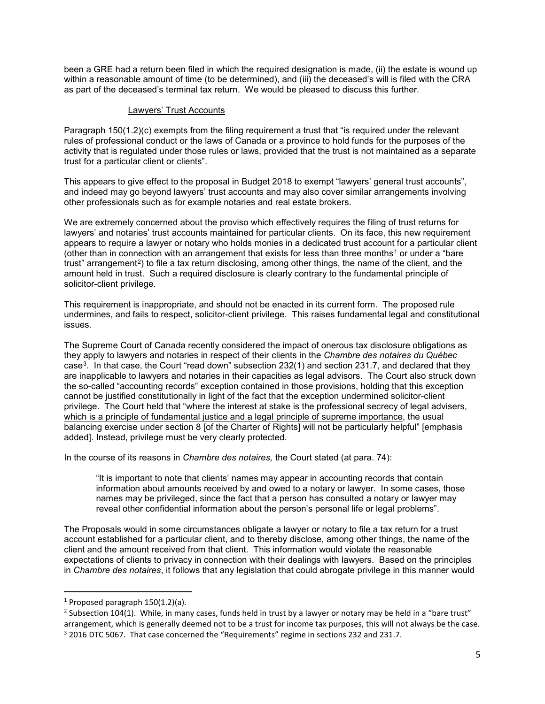been a GRE had a return been filed in which the required designation is made, (ii) the estate is wound up within a reasonable amount of time (to be determined), and (iii) the deceased's will is filed with the CRA as part of the deceased's terminal tax return. We would be pleased to discuss this further.

#### Lawyers' Trust Accounts

Paragraph 150(1.2)(c) exempts from the filing requirement a trust that "is required under the relevant rules of professional conduct or the laws of Canada or a province to hold funds for the purposes of the activity that is regulated under those rules or laws, provided that the trust is not maintained as a separate trust for a particular client or clients".

This appears to give effect to the proposal in Budget 2018 to exempt "lawyers' general trust accounts", and indeed may go beyond lawyers' trust accounts and may also cover similar arrangements involving other professionals such as for example notaries and real estate brokers.

We are extremely concerned about the proviso which effectively requires the filing of trust returns for lawyers' and notaries' trust accounts maintained for particular clients. On its face, this new requirement appears to require a lawyer or notary who holds monies in a dedicated trust account for a particular client (other than in connection with an arrangement that exists for less than three months<sup>[1](#page-4-0)</sup> or under a "bare") trust" arrangement<sup>[2](#page-4-1)</sup>) to file a tax return disclosing, among other things, the name of the client, and the amount held in trust. Such a required disclosure is clearly contrary to the fundamental principle of solicitor-client privilege.

This requirement is inappropriate, and should not be enacted in its current form. The proposed rule undermines, and fails to respect, solicitor-client privilege. This raises fundamental legal and constitutional issues.

The Supreme Court of Canada recently considered the impact of onerous tax disclosure obligations as they apply to lawyers and notaries in respect of their clients in the *Chambre des notaires du Québec* case[3](#page-4-2). In that case, the Court "read down" subsection 232(1) and section 231.7, and declared that they are inapplicable to lawyers and notaries in their capacities as legal advisors. The Court also struck down the so-called "accounting records" exception contained in those provisions, holding that this exception cannot be justified constitutionally in light of the fact that the exception undermined solicitor-client privilege. The Court held that "where the interest at stake is the professional secrecy of legal advisers, which is a principle of fundamental justice and a legal principle of supreme importance, the usual balancing exercise under section 8 [of the Charter of Rights] will not be particularly helpful" [emphasis added]. Instead, privilege must be very clearly protected.

In the course of its reasons in *Chambre des notaires,* the Court stated (at para. 74):

"It is important to note that clients' names may appear in accounting records that contain information about amounts received by and owed to a notary or lawyer. In some cases, those names may be privileged, since the fact that a person has consulted a notary or lawyer may reveal other confidential information about the person's personal life or legal problems".

The Proposals would in some circumstances obligate a lawyer or notary to file a tax return for a trust account established for a particular client, and to thereby disclose, among other things, the name of the client and the amount received from that client. This information would violate the reasonable expectations of clients to privacy in connection with their dealings with lawyers. Based on the principles in *Chambre des notaires*, it follows that any legislation that could abrogate privilege in this manner would

 $\overline{\phantom{a}}$ 

<span id="page-4-0"></span><sup>&</sup>lt;sup>1</sup> Proposed paragraph  $150(1.2)(a)$ .

<span id="page-4-2"></span><span id="page-4-1"></span> $2$  Subsection 104(1). While, in many cases, funds held in trust by a lawyer or notary may be held in a "bare trust" arrangement, which is generally deemed not to be a trust for income tax purposes, this will not always be the case. <sup>3</sup> 2016 DTC 5067. That case concerned the "Requirements" regime in sections 232 and 231.7.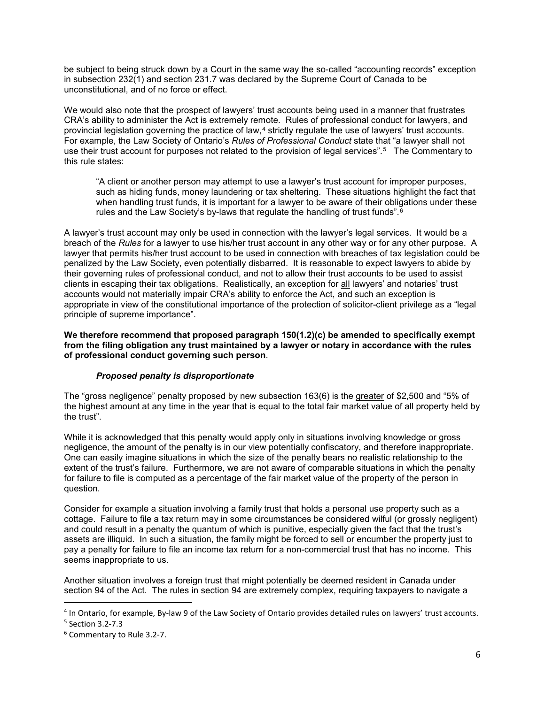be subject to being struck down by a Court in the same way the so-called "accounting records" exception in subsection 232(1) and section 231.7 was declared by the Supreme Court of Canada to be unconstitutional, and of no force or effect.

We would also note that the prospect of lawyers' trust accounts being used in a manner that frustrates CRA's ability to administer the Act is extremely remote. Rules of professional conduct for lawyers, and provincial legislation governing the practice of law,<sup>[4](#page-5-0)</sup> strictly regulate the use of lawyers' trust accounts. For example, the Law Society of Ontario's *Rules of Professional Conduct* state that "a lawyer shall not use their trust account for purposes not related to the provision of legal services".<sup>[5](#page-5-1)</sup> The Commentary to this rule states:

"A client or another person may attempt to use a lawyer's trust account for improper purposes, such as hiding funds, money laundering or tax sheltering. These situations highlight the fact that when handling trust funds, it is important for a lawyer to be aware of their obligations under these rules and the Law Society's by-laws that regulate the handling of trust funds". $6$ 

A lawyer's trust account may only be used in connection with the lawyer's legal services. It would be a breach of the *Rules* for a lawyer to use his/her trust account in any other way or for any other purpose. A lawyer that permits his/her trust account to be used in connection with breaches of tax legislation could be penalized by the Law Society, even potentially disbarred. It is reasonable to expect lawyers to abide by their governing rules of professional conduct, and not to allow their trust accounts to be used to assist clients in escaping their tax obligations. Realistically, an exception for all lawyers' and notaries' trust accounts would not materially impair CRA's ability to enforce the Act, and such an exception is appropriate in view of the constitutional importance of the protection of solicitor-client privilege as a "legal principle of supreme importance".

**We therefore recommend that proposed paragraph 150(1.2)(c) be amended to specifically exempt from the filing obligation any trust maintained by a lawyer or notary in accordance with the rules of professional conduct governing such person**.

### *Proposed penalty is disproportionate*

The "gross negligence" penalty proposed by new subsection 163(6) is the greater of \$2,500 and "5% of the highest amount at any time in the year that is equal to the total fair market value of all property held by the trust".

While it is acknowledged that this penalty would apply only in situations involving knowledge or gross negligence, the amount of the penalty is in our view potentially confiscatory, and therefore inappropriate. One can easily imagine situations in which the size of the penalty bears no realistic relationship to the extent of the trust's failure. Furthermore, we are not aware of comparable situations in which the penalty for failure to file is computed as a percentage of the fair market value of the property of the person in question.

Consider for example a situation involving a family trust that holds a personal use property such as a cottage. Failure to file a tax return may in some circumstances be considered wilful (or grossly negligent) and could result in a penalty the quantum of which is punitive, especially given the fact that the trust's assets are illiquid. In such a situation, the family might be forced to sell or encumber the property just to pay a penalty for failure to file an income tax return for a non-commercial trust that has no income. This seems inappropriate to us.

Another situation involves a foreign trust that might potentially be deemed resident in Canada under section 94 of the Act. The rules in section 94 are extremely complex, requiring taxpayers to navigate a

l

<span id="page-5-0"></span><sup>4</sup> In Ontario, for example, By-law 9 of the Law Society of Ontario provides detailed rules on lawyers' trust accounts. <sup>5</sup> Section 3.2-7.3

<span id="page-5-1"></span>

<span id="page-5-2"></span><sup>6</sup> Commentary to Rule 3.2-7.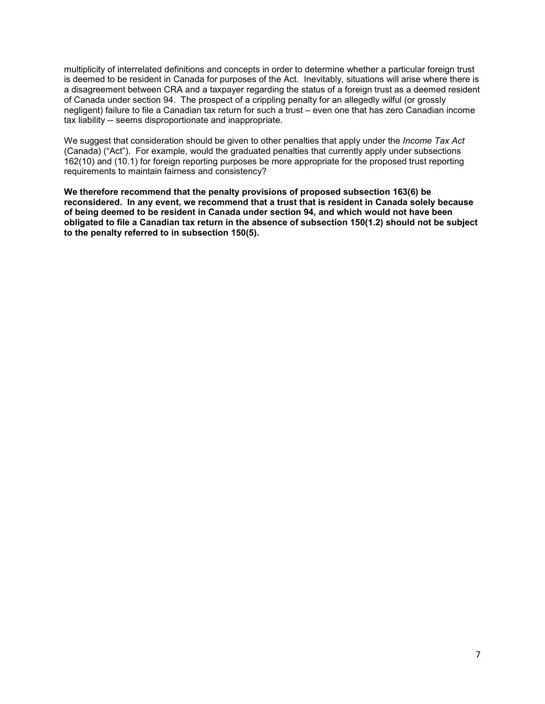multiplicity of interrelated definitions and concepts in order to determine whether a particular foreign trust is deemed to be resident in Canada for purposes of the Act. Inevitably, situations will arise where there is a disagreement between CRA and a taxpayer regarding the status of a foreign trust as a deemed resident of Canada under section 94. The prospect of a crippling penalty for an allegedly wilful (or grossly negligent) failure to file a Canadian tax return for such a trust – even one that has zero Canadian income tax liability -- seems disproportionate and inappropriate.

We suggest that consideration should be given to other penalties that apply under the *Income Tax Act* (Canada) ("Act"). For example, would the graduated penalties that currently apply under subsections 162(10) and (10.1) for foreign reporting purposes be more appropriate for the proposed trust reporting requirements to maintain fairness and consistency?

**We therefore recommend that the penalty provisions of proposed subsection 163(6) be reconsidered. In any event, we recommend that a trust that is resident in Canada solely because of being deemed to be resident in Canada under section 94, and which would not have been obligated to file a Canadian tax return in the absence of subsection 150(1.2) should not be subject to the penalty referred to in subsection 150(5).**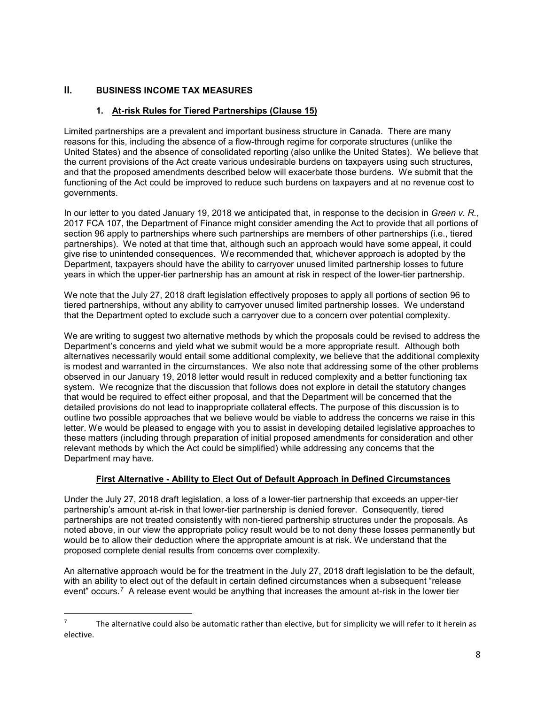# **II. BUSINESS INCOME TAX MEASURES**

 $\overline{a}$ 

# **1. At-risk Rules for Tiered Partnerships (Clause 15)**

Limited partnerships are a prevalent and important business structure in Canada. There are many reasons for this, including the absence of a flow-through regime for corporate structures (unlike the United States) and the absence of consolidated reporting (also unlike the United States). We believe that the current provisions of the Act create various undesirable burdens on taxpayers using such structures, and that the proposed amendments described below will exacerbate those burdens. We submit that the functioning of the Act could be improved to reduce such burdens on taxpayers and at no revenue cost to governments.

In our letter to you dated January 19, 2018 we anticipated that, in response to the decision in *Green v. R.*, 2017 FCA 107, the Department of Finance might consider amending the Act to provide that all portions of section 96 apply to partnerships where such partnerships are members of other partnerships (i.e., tiered partnerships). We noted at that time that, although such an approach would have some appeal, it could give rise to unintended consequences. We recommended that, whichever approach is adopted by the Department, taxpayers should have the ability to carryover unused limited partnership losses to future years in which the upper-tier partnership has an amount at risk in respect of the lower-tier partnership.

We note that the July 27, 2018 draft legislation effectively proposes to apply all portions of section 96 to tiered partnerships, without any ability to carryover unused limited partnership losses. We understand that the Department opted to exclude such a carryover due to a concern over potential complexity.

We are writing to suggest two alternative methods by which the proposals could be revised to address the Department's concerns and yield what we submit would be a more appropriate result. Although both alternatives necessarily would entail some additional complexity, we believe that the additional complexity is modest and warranted in the circumstances. We also note that addressing some of the other problems observed in our January 19, 2018 letter would result in reduced complexity and a better functioning tax system. We recognize that the discussion that follows does not explore in detail the statutory changes that would be required to effect either proposal, and that the Department will be concerned that the detailed provisions do not lead to inappropriate collateral effects. The purpose of this discussion is to outline two possible approaches that we believe would be viable to address the concerns we raise in this letter. We would be pleased to engage with you to assist in developing detailed legislative approaches to these matters (including through preparation of initial proposed amendments for consideration and other relevant methods by which the Act could be simplified) while addressing any concerns that the Department may have.

# **First Alternative - Ability to Elect Out of Default Approach in Defined Circumstances**

Under the July 27, 2018 draft legislation, a loss of a lower-tier partnership that exceeds an upper-tier partnership's amount at-risk in that lower-tier partnership is denied forever. Consequently, tiered partnerships are not treated consistently with non-tiered partnership structures under the proposals. As noted above, in our view the appropriate policy result would be to not deny these losses permanently but would be to allow their deduction where the appropriate amount is at risk. We understand that the proposed complete denial results from concerns over complexity.

An alternative approach would be for the treatment in the July 27, 2018 draft legislation to be the default, with an ability to elect out of the default in certain defined circumstances when a subsequent "release event" occurs.<sup>7</sup> A release event would be anything that increases the amount at-risk in the lower tier

<span id="page-7-0"></span><sup>7</sup> The alternative could also be automatic rather than elective, but for simplicity we will refer to it herein as elective.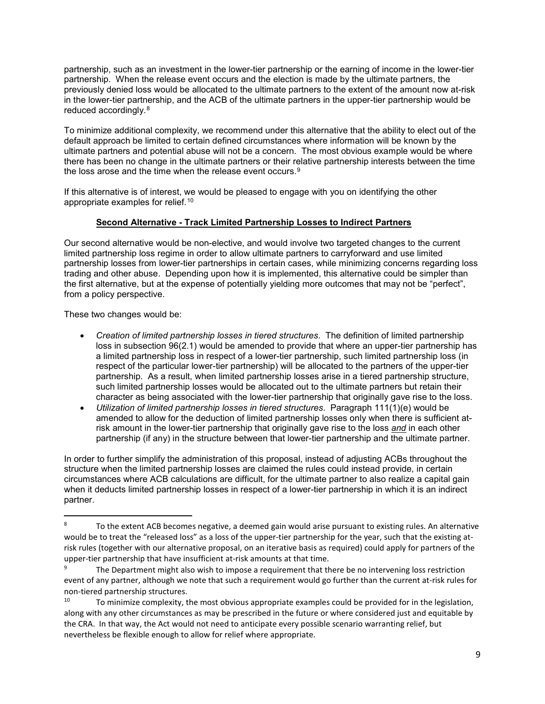partnership, such as an investment in the lower-tier partnership or the earning of income in the lower-tier partnership. When the release event occurs and the election is made by the ultimate partners, the previously denied loss would be allocated to the ultimate partners to the extent of the amount now at-risk in the lower-tier partnership, and the ACB of the ultimate partners in the upper-tier partnership would be reduced accordingly.[8](#page-8-0)

To minimize additional complexity, we recommend under this alternative that the ability to elect out of the default approach be limited to certain defined circumstances where information will be known by the ultimate partners and potential abuse will not be a concern. The most obvious example would be where there has been no change in the ultimate partners or their relative partnership interests between the time the loss arose and the time when the release event occurs.<sup>[9](#page-8-1)</sup>

If this alternative is of interest, we would be pleased to engage with you on identifying the other appropriate examples for relief.[10](#page-8-2) 

# **Second Alternative - Track Limited Partnership Losses to Indirect Partners**

Our second alternative would be non-elective, and would involve two targeted changes to the current limited partnership loss regime in order to allow ultimate partners to carryforward and use limited partnership losses from lower-tier partnerships in certain cases, while minimizing concerns regarding loss trading and other abuse. Depending upon how it is implemented, this alternative could be simpler than the first alternative, but at the expense of potentially yielding more outcomes that may not be "perfect", from a policy perspective.

These two changes would be:

 $\overline{a}$ 

- *Creation of limited partnership losses in tiered structures*. The definition of limited partnership loss in subsection 96(2.1) would be amended to provide that where an upper-tier partnership has a limited partnership loss in respect of a lower-tier partnership, such limited partnership loss (in respect of the particular lower-tier partnership) will be allocated to the partners of the upper-tier partnership. As a result, when limited partnership losses arise in a tiered partnership structure, such limited partnership losses would be allocated out to the ultimate partners but retain their character as being associated with the lower-tier partnership that originally gave rise to the loss.
- *Utilization of limited partnership losses in tiered structures*. Paragraph 111(1)(e) would be amended to allow for the deduction of limited partnership losses only when there is sufficient atrisk amount in the lower-tier partnership that originally gave rise to the loss *and* in each other partnership (if any) in the structure between that lower-tier partnership and the ultimate partner.

In order to further simplify the administration of this proposal, instead of adjusting ACBs throughout the structure when the limited partnership losses are claimed the rules could instead provide, in certain circumstances where ACB calculations are difficult, for the ultimate partner to also realize a capital gain when it deducts limited partnership losses in respect of a lower-tier partnership in which it is an indirect partner.

<span id="page-8-0"></span><sup>8</sup> To the extent ACB becomes negative, a deemed gain would arise pursuant to existing rules. An alternative would be to treat the "released loss" as a loss of the upper-tier partnership for the year, such that the existing atrisk rules (together with our alternative proposal, on an iterative basis as required) could apply for partners of the upper-tier partnership that have insufficient at-risk amounts at that time.

<span id="page-8-1"></span><sup>9</sup> The Department might also wish to impose a requirement that there be no intervening loss restriction event of any partner, although we note that such a requirement would go further than the current at-risk rules for non-tiered partnership structures.<br>10. Te minimize complexity to

<span id="page-8-2"></span><sup>10</sup> To minimize complexity, the most obvious appropriate examples could be provided for in the legislation, along with any other circumstances as may be prescribed in the future or where considered just and equitable by the CRA. In that way, the Act would not need to anticipate every possible scenario warranting relief, but nevertheless be flexible enough to allow for relief where appropriate.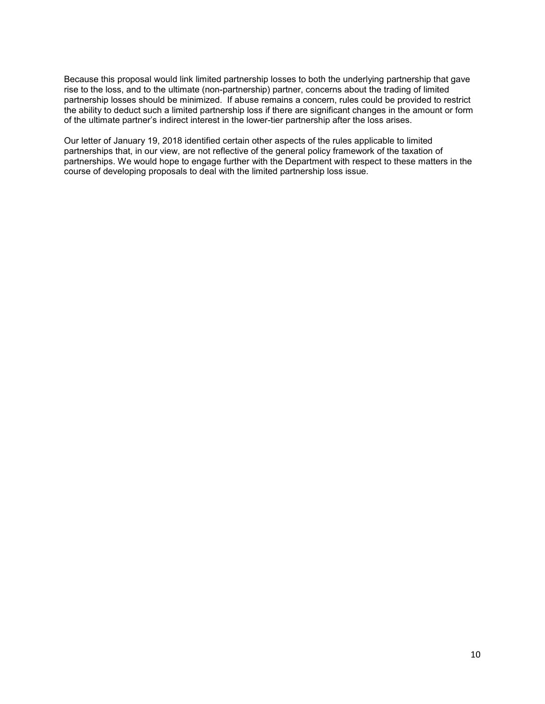Because this proposal would link limited partnership losses to both the underlying partnership that gave rise to the loss, and to the ultimate (non-partnership) partner, concerns about the trading of limited partnership losses should be minimized. If abuse remains a concern, rules could be provided to restrict the ability to deduct such a limited partnership loss if there are significant changes in the amount or form of the ultimate partner's indirect interest in the lower-tier partnership after the loss arises.

Our letter of January 19, 2018 identified certain other aspects of the rules applicable to limited partnerships that, in our view, are not reflective of the general policy framework of the taxation of partnerships. We would hope to engage further with the Department with respect to these matters in the course of developing proposals to deal with the limited partnership loss issue.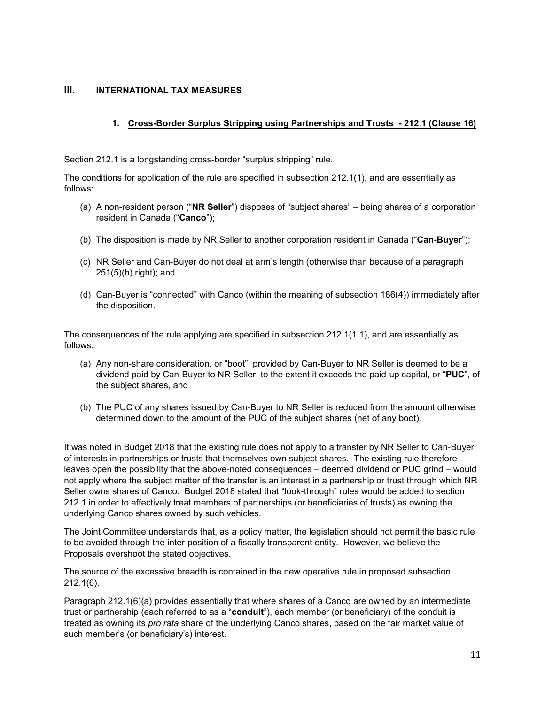### **III. INTERNATIONAL TAX MEASURES**

# **1. Cross-Border Surplus Stripping using Partnerships and Trusts - 212.1 (Clause 16)**

Section 212.1 is a longstanding cross-border "surplus stripping" rule.

The conditions for application of the rule are specified in subsection 212.1(1), and are essentially as follows:

- (a) A non-resident person ("**NR Seller**") disposes of "subject shares" being shares of a corporation resident in Canada ("**Canco**");
- (b) The disposition is made by NR Seller to another corporation resident in Canada ("**Can-Buyer**");
- (c) NR Seller and Can-Buyer do not deal at arm's length (otherwise than because of a paragraph 251(5)(b) right); and
- (d) Can-Buyer is "connected" with Canco (within the meaning of subsection 186(4)) immediately after the disposition.

The consequences of the rule applying are specified in subsection 212.1(1.1), and are essentially as follows:

- (a) Any non-share consideration, or "boot", provided by Can-Buyer to NR Seller is deemed to be a dividend paid by Can-Buyer to NR Seller, to the extent it exceeds the paid-up capital, or "**PUC**", of the subject shares, and
- (b) The PUC of any shares issued by Can-Buyer to NR Seller is reduced from the amount otherwise determined down to the amount of the PUC of the subject shares (net of any boot).

It was noted in Budget 2018 that the existing rule does not apply to a transfer by NR Seller to Can-Buyer of interests in partnerships or trusts that themselves own subject shares. The existing rule therefore leaves open the possibility that the above-noted consequences – deemed dividend or PUC grind – would not apply where the subject matter of the transfer is an interest in a partnership or trust through which NR Seller owns shares of Canco. Budget 2018 stated that "look-through" rules would be added to section 212.1 in order to effectively treat members of partnerships (or beneficiaries of trusts) as owning the underlying Canco shares owned by such vehicles.

The Joint Committee understands that, as a policy matter, the legislation should not permit the basic rule to be avoided through the inter-position of a fiscally transparent entity. However, we believe the Proposals overshoot the stated objectives.

The source of the excessive breadth is contained in the new operative rule in proposed subsection 212.1(6).

Paragraph 212.1(6)(a) provides essentially that where shares of a Canco are owned by an intermediate trust or partnership (each referred to as a "**conduit**"), each member (or beneficiary) of the conduit is treated as owning its *pro rata* share of the underlying Canco shares, based on the fair market value of such member's (or beneficiary's) interest.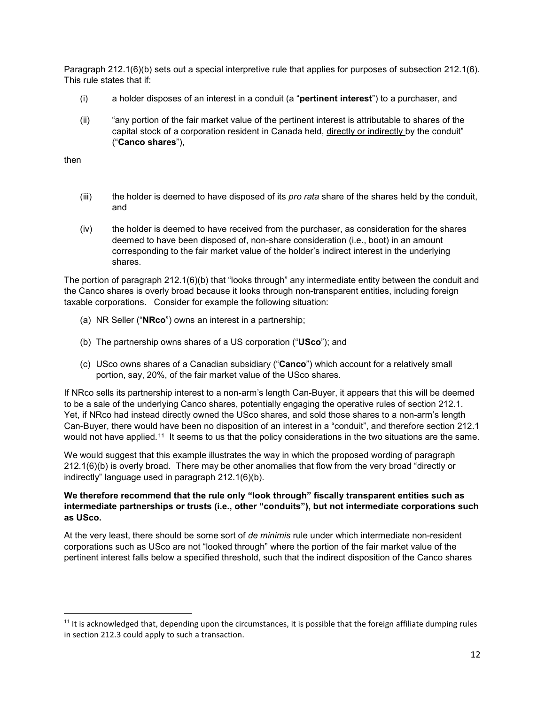Paragraph 212.1(6)(b) sets out a special interpretive rule that applies for purposes of subsection 212.1(6). This rule states that if:

- (i) a holder disposes of an interest in a conduit (a "**pertinent interest**") to a purchaser, and
- (ii) "any portion of the fair market value of the pertinent interest is attributable to shares of the capital stock of a corporation resident in Canada held, directly or indirectly by the conduit" ("**Canco shares**"),

then

 $\overline{a}$ 

- (iii) the holder is deemed to have disposed of its *pro rata* share of the shares held by the conduit, and
- (iv) the holder is deemed to have received from the purchaser, as consideration for the shares deemed to have been disposed of, non-share consideration (i.e., boot) in an amount corresponding to the fair market value of the holder's indirect interest in the underlying shares.

The portion of paragraph 212.1(6)(b) that "looks through" any intermediate entity between the conduit and the Canco shares is overly broad because it looks through non-transparent entities, including foreign taxable corporations. Consider for example the following situation:

- (a) NR Seller ("**NRco**") owns an interest in a partnership;
- (b) The partnership owns shares of a US corporation ("**USco**"); and
- (c) USco owns shares of a Canadian subsidiary ("**Canco**") which account for a relatively small portion, say, 20%, of the fair market value of the USco shares.

If NRco sells its partnership interest to a non-arm's length Can-Buyer, it appears that this will be deemed to be a sale of the underlying Canco shares, potentially engaging the operative rules of section 212.1. Yet, if NRco had instead directly owned the USco shares, and sold those shares to a non-arm's length Can-Buyer, there would have been no disposition of an interest in a "conduit", and therefore section 212.1 would not have applied.<sup>11</sup> It seems to us that the policy considerations in the two situations are the same.

We would suggest that this example illustrates the way in which the proposed wording of paragraph 212.1(6)(b) is overly broad. There may be other anomalies that flow from the very broad "directly or indirectly" language used in paragraph 212.1(6)(b).

### **We therefore recommend that the rule only "look through" fiscally transparent entities such as intermediate partnerships or trusts (i.e., other "conduits"), but not intermediate corporations such as USco.**

At the very least, there should be some sort of *de minimis* rule under which intermediate non-resident corporations such as USco are not "looked through" where the portion of the fair market value of the pertinent interest falls below a specified threshold, such that the indirect disposition of the Canco shares

<span id="page-11-0"></span> $11$  It is acknowledged that, depending upon the circumstances, it is possible that the foreign affiliate dumping rules in section 212.3 could apply to such a transaction.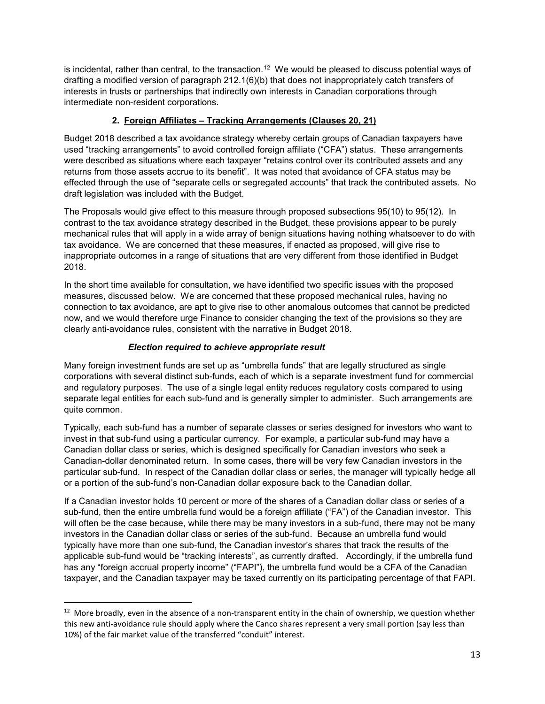is incidental, rather than central, to the transaction.<sup>12</sup> We would be pleased to discuss potential ways of drafting a modified version of paragraph 212.1(6)(b) that does not inappropriately catch transfers of interests in trusts or partnerships that indirectly own interests in Canadian corporations through intermediate non-resident corporations.

# **2. Foreign Affiliates – Tracking Arrangements (Clauses 20, 21)**

Budget 2018 described a tax avoidance strategy whereby certain groups of Canadian taxpayers have used "tracking arrangements" to avoid controlled foreign affiliate ("CFA") status. These arrangements were described as situations where each taxpayer "retains control over its contributed assets and any returns from those assets accrue to its benefit". It was noted that avoidance of CFA status may be effected through the use of "separate cells or segregated accounts" that track the contributed assets. No draft legislation was included with the Budget.

The Proposals would give effect to this measure through proposed subsections 95(10) to 95(12). In contrast to the tax avoidance strategy described in the Budget, these provisions appear to be purely mechanical rules that will apply in a wide array of benign situations having nothing whatsoever to do with tax avoidance. We are concerned that these measures, if enacted as proposed, will give rise to inappropriate outcomes in a range of situations that are very different from those identified in Budget 2018.

In the short time available for consultation, we have identified two specific issues with the proposed measures, discussed below. We are concerned that these proposed mechanical rules, having no connection to tax avoidance, are apt to give rise to other anomalous outcomes that cannot be predicted now, and we would therefore urge Finance to consider changing the text of the provisions so they are clearly anti-avoidance rules, consistent with the narrative in Budget 2018.

### *Election required to achieve appropriate result*

Many foreign investment funds are set up as "umbrella funds" that are legally structured as single corporations with several distinct sub-funds, each of which is a separate investment fund for commercial and regulatory purposes. The use of a single legal entity reduces regulatory costs compared to using separate legal entities for each sub-fund and is generally simpler to administer. Such arrangements are quite common.

Typically, each sub-fund has a number of separate classes or series designed for investors who want to invest in that sub-fund using a particular currency. For example, a particular sub-fund may have a Canadian dollar class or series, which is designed specifically for Canadian investors who seek a Canadian-dollar denominated return. In some cases, there will be very few Canadian investors in the particular sub-fund. In respect of the Canadian dollar class or series, the manager will typically hedge all or a portion of the sub-fund's non-Canadian dollar exposure back to the Canadian dollar.

If a Canadian investor holds 10 percent or more of the shares of a Canadian dollar class or series of a sub-fund, then the entire umbrella fund would be a foreign affiliate ("FA") of the Canadian investor. This will often be the case because, while there may be many investors in a sub-fund, there may not be many investors in the Canadian dollar class or series of the sub-fund. Because an umbrella fund would typically have more than one sub-fund, the Canadian investor's shares that track the results of the applicable sub-fund would be "tracking interests", as currently drafted. Accordingly, if the umbrella fund has any "foreign accrual property income" ("FAPI"), the umbrella fund would be a CFA of the Canadian taxpayer, and the Canadian taxpayer may be taxed currently on its participating percentage of that FAPI.

l

<span id="page-12-0"></span><sup>&</sup>lt;sup>12</sup> More broadly, even in the absence of a non-transparent entity in the chain of ownership, we question whether this new anti-avoidance rule should apply where the Canco shares represent a very small portion (say less than 10%) of the fair market value of the transferred "conduit" interest.